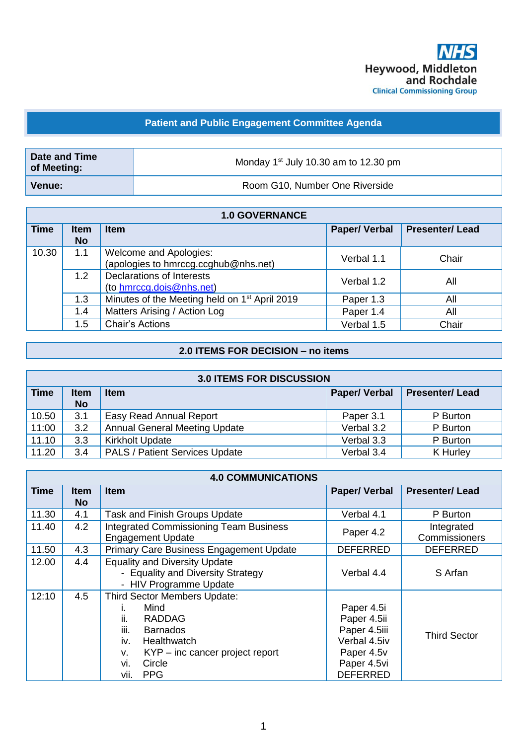

## **Patient and Public Engagement Committee Agenda**

| Date and Time<br>of Meeting: | Monday 1 <sup>st</sup> July 10.30 am to 12.30 pm |  |
|------------------------------|--------------------------------------------------|--|
| <b>Venue:</b>                | Room G10, Number One Riverside                   |  |

|             |                          | <b>1.0 GOVERNANCE</b>                                          |                     |                       |
|-------------|--------------------------|----------------------------------------------------------------|---------------------|-----------------------|
| <b>Time</b> | <b>Item</b><br><b>No</b> | <b>Item</b>                                                    | <b>Paper/Verbal</b> | <b>Presenter/Lead</b> |
| 10.30       | 1.1                      | Welcome and Apologies:<br>(apologies to hmrccg.ccghub@nhs.net) | Verbal 1.1          | Chair                 |
|             | 1.2                      | <b>Declarations of Interests</b><br>(to hmrccg.dois@nhs.net)   | Verbal 1.2          | All                   |
|             | 1.3                      | Minutes of the Meeting held on 1 <sup>st</sup> April 2019      | Paper 1.3           | All                   |
|             | 1.4                      | Matters Arising / Action Log                                   | Paper 1.4           | All                   |
|             | 1.5                      | <b>Chair's Actions</b>                                         | Verbal 1.5          | Chair                 |

## **2.0 ITEMS FOR DECISION – no items**

|             |                          | <b>3.0 ITEMS FOR DISCUSSION</b>       |                     |                       |
|-------------|--------------------------|---------------------------------------|---------------------|-----------------------|
| <b>Time</b> | <b>Item</b><br><b>No</b> | <b>Item</b>                           | <b>Paper/Verbal</b> | <b>Presenter/Lead</b> |
| 10.50       | 3.1                      | Easy Read Annual Report               | Paper 3.1           | P Burton              |
| 11:00       | 3.2                      | <b>Annual General Meeting Update</b>  | Verbal 3.2          | P Burton              |
| 11.10       | 3.3                      | <b>Kirkholt Update</b>                | Verbal 3.3          | P Burton              |
| 11.20       | 3.4                      | <b>PALS / Patient Services Update</b> | Verbal 3.4          | K Hurley              |

| <b>4.0 COMMUNICATIONS</b> |                    |                                                                                                                                                                                                        |                                                                                                           |                             |
|---------------------------|--------------------|--------------------------------------------------------------------------------------------------------------------------------------------------------------------------------------------------------|-----------------------------------------------------------------------------------------------------------|-----------------------------|
| <b>Time</b>               | <b>Item</b><br>No. | <b>Item</b>                                                                                                                                                                                            | <b>Paper/Verbal</b>                                                                                       | <b>Presenter/Lead</b>       |
| 11.30                     | 4.1                | <b>Task and Finish Groups Update</b>                                                                                                                                                                   | Verbal 4.1                                                                                                | P Burton                    |
| 11.40                     | 4.2                | <b>Integrated Commissioning Team Business</b><br><b>Engagement Update</b>                                                                                                                              | Paper 4.2                                                                                                 | Integrated<br>Commissioners |
| 11.50                     | 4.3                | Primary Care Business Engagement Update                                                                                                                                                                | <b>DEFERRED</b>                                                                                           | <b>DEFERRED</b>             |
| 12.00                     | 4.4                | <b>Equality and Diversity Update</b><br>- Equality and Diversity Strategy<br>- HIV Programme Update                                                                                                    | Verbal 4.4                                                                                                | S Arfan                     |
| 12:10                     | 4.5                | Third Sector Members Update:<br>Mind<br>ii.<br><b>RADDAG</b><br>iii.<br><b>Barnados</b><br>iv.<br><b>Healthwatch</b><br>$KYP$ – inc cancer project report<br>v.<br>vi.<br>Circle<br>vii.<br><b>PPG</b> | Paper 4.5i<br>Paper 4.5ii<br>Paper 4.5iii<br>Verbal 4.5iv<br>Paper 4.5v<br>Paper 4.5vi<br><b>DEFERRED</b> | <b>Third Sector</b>         |